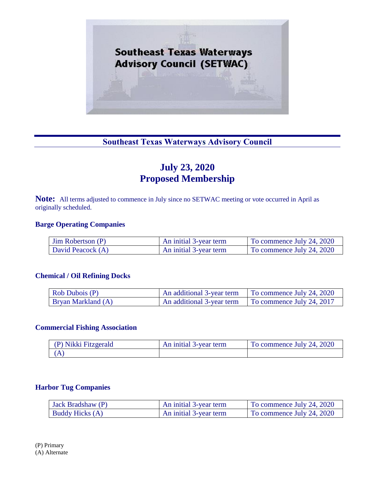

# **Southeast Texas Waterways Advisory Council**

# **July 23, 2020 Proposed Membership**

**Note:** All terms adjusted to commence in July since no SETWAC meeting or vote occurred in April as originally scheduled.

#### **Barge Operating Companies**

| $\lim$ Robertson $(P)$ | An initial 3-year term | To commence July 24, 2020 |
|------------------------|------------------------|---------------------------|
| David Peacock (A)      | An initial 3-year term | To commence July 24, 2020 |

#### **Chemical / Oil Refining Docks**

| Rob Dubois (P)            |                           | An additional 3-year term To commence July 24, 2020 |
|---------------------------|---------------------------|-----------------------------------------------------|
| <b>Bryan Markland (A)</b> | An additional 3-year term | $\vert$ To commence July 24, 2017                   |

#### **Commercial Fishing Association**

| Nikki Fitzgerald | 3-year term<br>anitial E<br>An | To commence July 24, 2020 |
|------------------|--------------------------------|---------------------------|
|                  |                                |                           |

#### **Harbor Tug Companies**

| Jack Bradshaw (P)      | An initial 3-year term | To commence July 24, 2020 |
|------------------------|------------------------|---------------------------|
| <b>Buddy Hicks (A)</b> | An initial 3-year term | To commence July 24, 2020 |